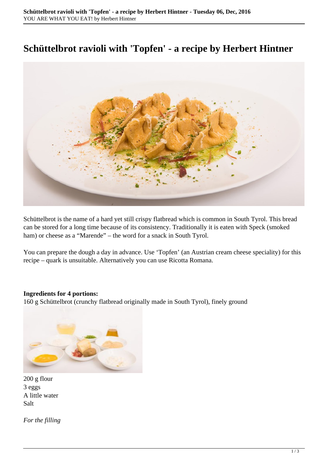## **Schüttelbrot ravioli with 'Topfen' - a recipe by Herbert Hintner**



Schüttelbrot is the name of a hard yet still crispy flatbread which is common in South Tyrol. This bread can be stored for a long time because of its consistency. Traditionally it is eaten with Speck (smoked ham) or cheese as a "Marende" – the word for a snack in South Tyrol.

You can prepare the dough a day in advance. Use 'Topfen' (an Austrian cream cheese speciality) for this recipe – quark is unsuitable. Alternatively you can use Ricotta Romana.

## **Ingredients for 4 portions:**

160 g Schüttelbrot (crunchy flatbread originally made in South Tyrol), finely ground



200 g flour 3 eggs A little water Salt

*For the filling*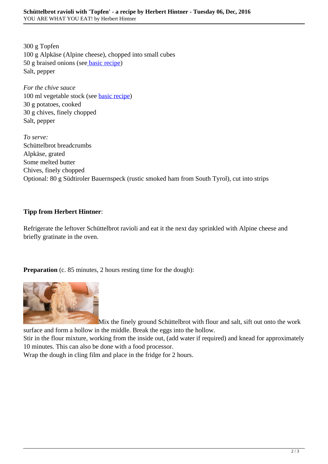300 g Topfen 100 g Alpkäse (Alpine cheese), chopped into small cubes 50 g braised onions (se[e basic recipe](http://news.tumorzentrum-muenchen.com/2016/12/braised-onions-a-basic-recipe-by-herbert-hintner/)) Salt, pepper

*For the chive sauce* 100 ml vegetable stock (see [basic recipe\)](http://news.tumorzentrum-muenchen.com/2016/12/vegetable_stock/) 30 g potatoes, cooked 30 g chives, finely chopped Salt, pepper

*To serve:* Schüttelbrot breadcrumbs Alpkäse, grated Some melted butter Chives, finely chopped Optional: 80 g Südtiroler Bauernspeck (rustic smoked ham from South Tyrol), cut into strips

## **Tipp from Herbert Hintner**:

Refrigerate the leftover Schüttelbrot ravioli and eat it the next day sprinkled with Alpine cheese and briefly gratinate in the oven.

**Preparation** (c. 85 minutes, 2 hours resting time for the dough):



Mix the finely ground Schüttelbrot with flour and salt, sift out onto the work

surface and form a hollow in the middle. Break the eggs into the hollow.

Stir in the flour mixture, working from the inside out, (add water if required) and knead for approximately 10 minutes. This can also be done with a food processor.

Wrap the dough in cling film and place in the fridge for 2 hours.